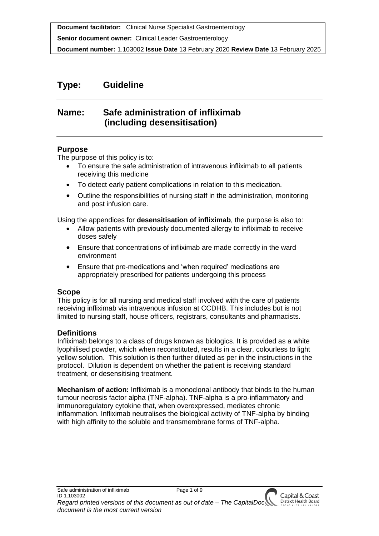**Senior document owner:** Clinical Leader Gastroenterology

**Document number:** 1.103002 **Issue Date** 13 February 2020 **Review Date** 13 February 2025

# **Type: Guideline**

# **Name: Safe administration of infliximab (including desensitisation)**

#### **Purpose**

The purpose of this policy is to:

- To ensure the safe administration of intravenous infliximab to all patients receiving this medicine
- To detect early patient complications in relation to this medication.
- Outline the responsibilities of nursing staff in the administration, monitoring and post infusion care.

Using the appendices for **desensitisation of infliximab**, the purpose is also to:

- Allow patients with previously documented allergy to infliximab to receive doses safely
- Ensure that concentrations of infliximab are made correctly in the ward environment
- Ensure that pre-medications and 'when required' medications are appropriately prescribed for patients undergoing this process

### **Scope**

This policy is for all nursing and medical staff involved with the care of patients receiving infliximab via intravenous infusion at CCDHB. This includes but is not limited to nursing staff, house officers, registrars, consultants and pharmacists.

### **Definitions**

Infliximab belongs to a class of drugs known as biologics. It is provided as a white lyophilised powder, which when reconstituted, results in a clear, colourless to light yellow solution. This solution is then further diluted as per in the instructions in the protocol. Dilution is dependent on whether the patient is receiving standard treatment, or desensitising treatment.

**Mechanism of action:** Infliximab is a monoclonal antibody that binds to the human tumour necrosis factor alpha (TNF-alpha). TNF-alpha is a pro-inflammatory and immunoregulatory cytokine that, when overexpressed, mediates chronic inflammation. Infliximab neutralises the biological activity of TNF-alpha by binding with high affinity to the soluble and transmembrane forms of TNF-alpha.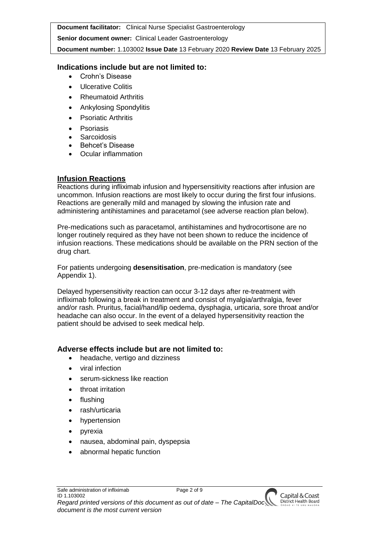**Senior document owner:** Clinical Leader Gastroenterology

**Document number:** 1.103002 **Issue Date** 13 February 2020 **Review Date** 13 February 2025

# **Indications include but are not limited to:**

- Crohn's Disease
- Ulcerative Colitis
- Rheumatoid Arthritis
- Ankylosing Spondylitis
- Psoriatic Arthritis
- Psoriasis
- **Sarcoidosis**
- Behcet's Disease
- Ocular inflammation

# **Infusion Reactions**

Reactions during infliximab infusion and hypersensitivity reactions after infusion are uncommon. Infusion reactions are most likely to occur during the first four infusions. Reactions are generally mild and managed by slowing the infusion rate and administering antihistamines and paracetamol (see adverse reaction plan below).

Pre-medications such as paracetamol, antihistamines and hydrocortisone are no longer routinely required as they have not been shown to reduce the incidence of infusion reactions. These medications should be available on the PRN section of the drug chart.

For patients undergoing **desensitisation**, pre-medication is mandatory (see Appendix 1).

Delayed hypersensitivity reaction can occur 3-12 days after re-treatment with infliximab following a break in treatment and consist of myalgia/arthralgia, fever and/or rash. Pruritus, facial/hand/lip oedema, dysphagia, urticaria, sore throat and/or headache can also occur. In the event of a delayed hypersensitivity reaction the patient should be advised to seek medical help.

# **Adverse effects include but are not limited to:**

- headache, vertigo and dizziness
- viral infection
- serum-sickness like reaction
- throat irritation
- flushing
- rash/urticaria
- hypertension
- pyrexia
- nausea, abdominal pain, dyspepsia
- abnormal hepatic function

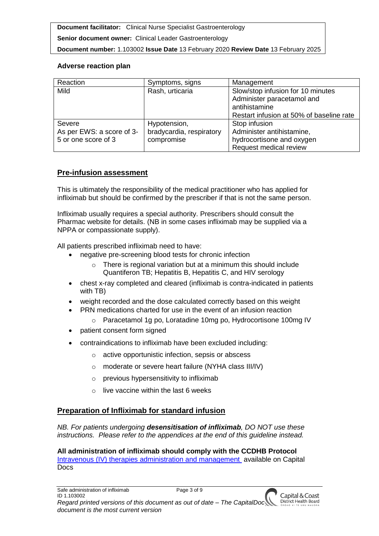**Senior document owner:** Clinical Leader Gastroenterology

**Document number:** 1.103002 **Issue Date** 13 February 2020 **Review Date** 13 February 2025

### **Adverse reaction plan**

| Reaction                  | Symptoms, signs          | Management                               |
|---------------------------|--------------------------|------------------------------------------|
| Mild                      | Rash, urticaria          | Slow/stop infusion for 10 minutes        |
|                           |                          | Administer paracetamol and               |
|                           |                          | antihistamine                            |
|                           |                          | Restart infusion at 50% of baseline rate |
| Severe                    | Hypotension,             | Stop infusion                            |
| As per EWS: a score of 3- | bradycardia, respiratory | Administer antihistamine,                |
| 5 or one score of 3       | compromise               | hydrocortisone and oxygen                |
|                           |                          | Request medical review                   |

## **Pre-infusion assessment**

This is ultimately the responsibility of the medical practitioner who has applied for infliximab but should be confirmed by the prescriber if that is not the same person.

Infliximab usually requires a special authority. Prescribers should consult the Pharmac website for details. (NB in some cases infliximab may be supplied via a NPPA or compassionate supply).

All patients prescribed infliximab need to have:

- negative pre-screening blood tests for chronic infection
	- $\circ$  There is regional variation but at a minimum this should include Quantiferon TB; Hepatitis B, Hepatitis C, and HIV serology
- chest x-ray completed and cleared (infliximab is contra-indicated in patients with TB)
- weight recorded and the dose calculated correctly based on this weight
	- PRN medications charted for use in the event of an infusion reaction
		- o Paracetamol 1g po, Loratadine 10mg po, Hydrocortisone 100mg IV
- patient consent form signed
- contraindications to infliximab have been excluded including:
	- o active opportunistic infection, sepsis or abscess
	- o moderate or severe heart failure (NYHA class III/IV)
	- o previous hypersensitivity to infliximab
	- $\circ$  live vaccine within the last 6 weeks

# **Preparation of Infliximab for standard infusion**

*NB. For patients undergoing desensitisation of infliximab, DO NOT use these instructions. Please refer to the appendices at the end of this guideline instead.*

### **All administration of infliximab should comply with the CCDHB Protocol**

[Intravenous \(IV\) therapies administration and management](http://silentone/content/capitalDoc/130_IV_Therapies/Policies/000000000190/__file__/000000000190.pdf) available on Capital **Docs**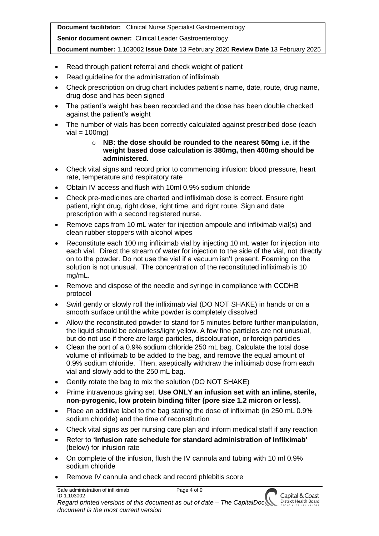**Senior document owner:** Clinical Leader Gastroenterology

**Document number:** 1.103002 **Issue Date** 13 February 2020 **Review Date** 13 February 2025

- Read through patient referral and check weight of patient
- Read guideline for the administration of infliximab
- Check prescription on drug chart includes patient's name, date, route, drug name, drug dose and has been signed
- The patient's weight has been recorded and the dose has been double checked against the patient's weight
- The number of vials has been correctly calculated against prescribed dose (each  $vial = 100ma$

#### o **NB: the dose should be rounded to the nearest 50mg i.e. if the weight based dose calculation is 380mg, then 400mg should be administered.**

- Check vital signs and record prior to commencing infusion: blood pressure, heart rate, temperature and respiratory rate
- Obtain IV access and flush with 10ml 0.9% sodium chloride
- Check pre-medicines are charted and infliximab dose is correct. Ensure right patient, right drug, right dose, right time, and right route. Sign and date prescription with a second registered nurse.
- Remove caps from 10 mL water for injection ampoule and infliximab vial(s) and clean rubber stoppers with alcohol wipes
- Reconstitute each 100 mg infliximab vial by injecting 10 mL water for injection into each vial. Direct the stream of water for injection to the side of the vial, not directly on to the powder. Do not use the vial if a vacuum isn't present. Foaming on the solution is not unusual. The concentration of the reconstituted infliximab is 10 mg/mL.
- Remove and dispose of the needle and syringe in compliance with CCDHB protocol
- Swirl gently or slowly roll the infliximab vial (DO NOT SHAKE) in hands or on a smooth surface until the white powder is completely dissolved
- Allow the reconstituted powder to stand for 5 minutes before further manipulation, the liquid should be colourless/light yellow. A few fine particles are not unusual, but do not use if there are large particles, discolouration, or foreign particles
- Clean the port of a 0.9% sodium chloride 250 mL bag. Calculate the total dose volume of infliximab to be added to the bag, and remove the equal amount of 0.9% sodium chloride. Then, aseptically withdraw the infliximab dose from each vial and slowly add to the 250 mL bag.
- Gently rotate the bag to mix the solution (DO NOT SHAKE)
- Prime intravenous giving set. **Use ONLY an infusion set with an inline, sterile, non-pyrogenic, low protein binding filter (pore size 1.2 micron or less).**
- Place an additive label to the bag stating the dose of infliximab (in 250 mL 0.9% sodium chloride) and the time of reconstitution
- Check vital signs as per nursing care plan and inform medical staff if any reaction
- Refer to **'Infusion rate schedule for standard administration of Infliximab'** (below) for infusion rate
- On complete of the infusion, flush the IV cannula and tubing with 10 ml 0.9% sodium chloride
- Remove IV cannula and check and record phlebitis score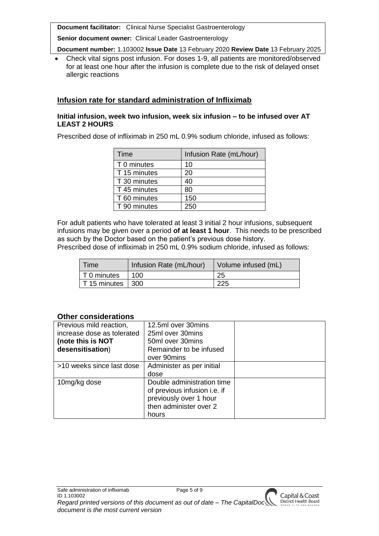**Senior document owner:** Clinical Leader Gastroenterology

**Document number:** 1.103002 **Issue Date** 13 February 2020 **Review Date** 13 February 2025

 Check vital signs post infusion. For doses 1-9, all patients are monitored/observed for at least one hour after the infusion is complete due to the risk of delayed onset allergic reactions

### **Infusion rate for standard administration of Infliximab**

#### **Initial infusion, week two infusion, week six infusion – to be infused over AT LEAST 2 HOURS**

Prescribed dose of infliximab in 250 mL 0.9% sodium chloride, infused as follows:

| Time         | Infusion Rate (mL/hour) |
|--------------|-------------------------|
| T 0 minutes  | 10                      |
| T 15 minutes | 20                      |
| T 30 minutes | 40                      |
| T 45 minutes | 80                      |
| T 60 minutes | 150                     |
| T 90 minutes | 250                     |

For adult patients who have tolerated at least 3 initial 2 hour infusions, subsequent infusions may be given over a period **of at least 1 hour**. This needs to be prescribed as such by the Doctor based on the patient's previous dose history.

Prescribed dose of infliximab in 250 mL 0.9% sodium chloride, infused as follows:

| Time                             | Infusion Rate (mL/hour) | Volume infused (mL) |
|----------------------------------|-------------------------|---------------------|
| $\vert$ T 0 minutes              | 100                     | 25                  |
| $\vert$ T 15 minutes $\vert$ 300 |                         | 225                 |

#### **Other considerations**

| Previous mild reaction,    | 12.5ml over 30mins           |  |
|----------------------------|------------------------------|--|
| increase dose as tolerated | 25ml over 30mins             |  |
| (note this is NOT          | 50ml over 30mins             |  |
| desensitisation)           | Remainder to be infused      |  |
|                            | over 90 mins                 |  |
| >10 weeks since last dose  | Administer as per initial    |  |
|                            | dose                         |  |
| 10mg/kg dose               | Double administration time   |  |
|                            | of previous infusion i.e. if |  |
|                            | previously over 1 hour       |  |
|                            | then administer over 2       |  |
|                            | hours                        |  |

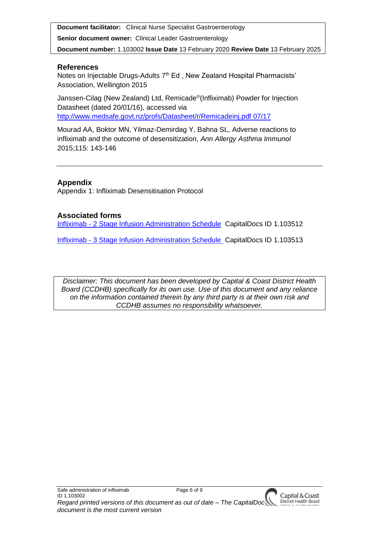**Senior document owner:** Clinical Leader Gastroenterology

**Document number:** 1.103002 **Issue Date** 13 February 2020 **Review Date** 13 February 2025

## **References**

Notes on Injectable Drugs-Adults 7<sup>th</sup> Ed, New Zealand Hospital Pharmacists' Association, Wellington 2015

Janssen-Cilag (New Zealand) Ltd, Remicade® (Infliximab) Powder for Injection Datasheet (dated 20/01/16), accessed via [http://www.medsafe.govt.nz/profs/Datasheet/r/Remicadeinj.pdf 07/17](http://www.medsafe.govt.nz/profs/Datasheet/r/Remicadeinj.pdf%2007/17)

Mourad AA, Boktor MN, Yilmaz-Demirdag Y, Bahna SL, Adverse reactions to infliximab and the outcome of desensitization, *Ann Allergy Asthma Immunol* 2015;115: 143-146

# **Appendix**

Appendix 1: Infliximab Desensitisation Protocol

### **Associated forms**

Infliximab - [2 Stage Infusion Administration Schedule](http://silentone/content/capitalDoc/230_Medicine/Gastroenterology_Upper_GI/Forms/000000103512/__file__/000000103512.pdf) CapitalDocs ID 1.103512

Infliximab - [3 Stage Infusion Administration Schedule](http://silentone/content/capitalDoc/230_Medicine/Gastroenterology_Upper_GI/Forms/000000103513/__file__/000000103513.pdf) CapitalDocs ID 1.103513

*Disclaimer: This document has been developed by Capital & Coast District Health Board (CCDHB) specifically for its own use. Use of this document and any reliance on the information contained therein by any third party is at their own risk and CCDHB assumes no responsibility whatsoever.*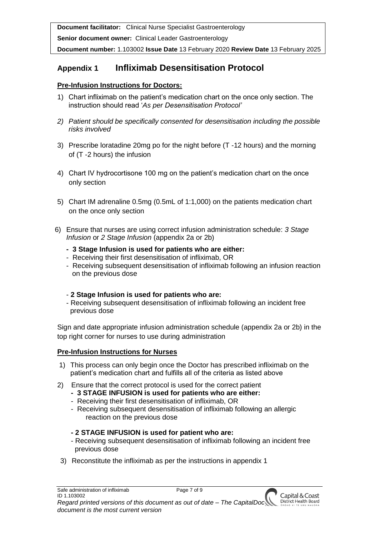**Senior document owner:** Clinical Leader Gastroenterology

**Document number:** 1.103002 **Issue Date** 13 February 2020 **Review Date** 13 February 2025

# **Appendix 1 Infliximab Desensitisation Protocol**

## **Pre-Infusion Instructions for Doctors:**

- 1) Chart infliximab on the patient's medication chart on the once only section. The instruction should read '*As per Desensitisation Protocol'*
- *2) Patient should be specifically consented for desensitisation including the possible risks involved*
- 3) Prescribe loratadine 20mg po for the night before (T -12 hours) and the morning of (T -2 hours) the infusion
- 4) Chart IV hydrocortisone 100 mg on the patient's medication chart on the once only section
- 5) Chart IM adrenaline 0.5mg (0.5mL of 1:1,000) on the patients medication chart on the once only section
- 6) Ensure that nurses are using correct infusion administration schedule: *3 Stage Infusion* or *2 Stage Infusion* (appendix 2a or 2b)
	- **- 3 Stage Infusion is used for patients who are either:**
	- Receiving their first desensitisation of infliximab, OR
	- Receiving subsequent desensitisation of infliximab following an infusion reaction on the previous dose

### - **2 Stage Infusion is used for patients who are:**

- Receiving subsequent desensitisation of infliximab following an incident free previous dose

Sign and date appropriate infusion administration schedule (appendix 2a or 2b) in the top right corner for nurses to use during administration

### **Pre-Infusion Instructions for Nurses**

- 1) This process can only begin once the Doctor has prescribed infliximab on the patient's medication chart and fulfills all of the criteria as listed above
- 2) Ensure that the correct protocol is used for the correct patient
	- **- 3 STAGE INFUSION is used for patients who are either:**
	- Receiving their first desensitisation of infliximab, OR
	- Receiving subsequent desensitisation of infliximab following an allergic reaction on the previous dose

# **- 2 STAGE INFUSION is used for patient who are:**

- Receiving subsequent desensitisation of infliximab following an incident free previous dose
- 3) Reconstitute the infliximab as per the instructions in appendix 1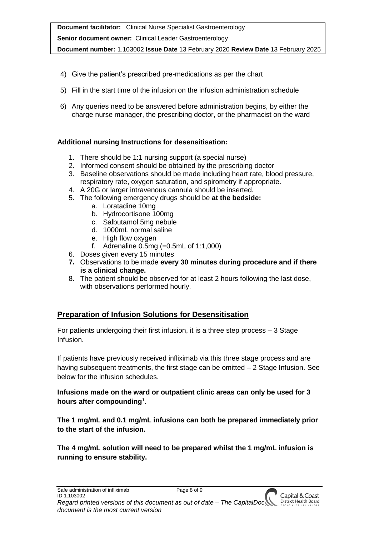**Document facilitator:** Clinical Nurse Specialist Gastroenterology **Senior document owner:** Clinical Leader Gastroenterology **Document number:** 1.103002 **Issue Date** 13 February 2020 **Review Date** 13 February 2025

- 4) Give the patient's prescribed pre-medications as per the chart
- 5) Fill in the start time of the infusion on the infusion administration schedule
- 6) Any queries need to be answered before administration begins, by either the charge nurse manager, the prescribing doctor, or the pharmacist on the ward

### **Additional nursing Instructions for desensitisation:**

- 1. There should be 1:1 nursing support (a special nurse)
- 2. Informed consent should be obtained by the prescribing doctor
- 3. Baseline observations should be made including heart rate, blood pressure, respiratory rate, oxygen saturation, and spirometry if appropriate.
- 4. A 20G or larger intravenous cannula should be inserted.
- 5. The following emergency drugs should be **at the bedside:**
	- a. Loratadine 10mg
	- b. Hydrocortisone 100mg
	- c. Salbutamol 5mg nebule
	- d. 1000mL normal saline
	- e. High flow oxygen
	- f. Adrenaline 0.5mg (=0.5mL of 1:1,000)
- 6. Doses given every 15 minutes
- **7.** Observations to be made **every 30 minutes during procedure and if there is a clinical change.**
- 8. The patient should be observed for at least 2 hours following the last dose, with observations performed hourly.

# **Preparation of Infusion Solutions for Desensitisation**

For patients undergoing their first infusion, it is a three step process – 3 Stage Infusion.

If patients have previously received infliximab via this three stage process and are having subsequent treatments, the first stage can be omitted – 2 Stage Infusion. See below for the infusion schedules.

### **Infusions made on the ward or outpatient clinic areas can only be used for 3 hours after compounding**<sup>1</sup> **.**

**The 1 mg/mL and 0.1 mg/mL infusions can both be prepared immediately prior to the start of the infusion.** 

**The 4 mg/mL solution will need to be prepared whilst the 1 mg/mL infusion is running to ensure stability.**